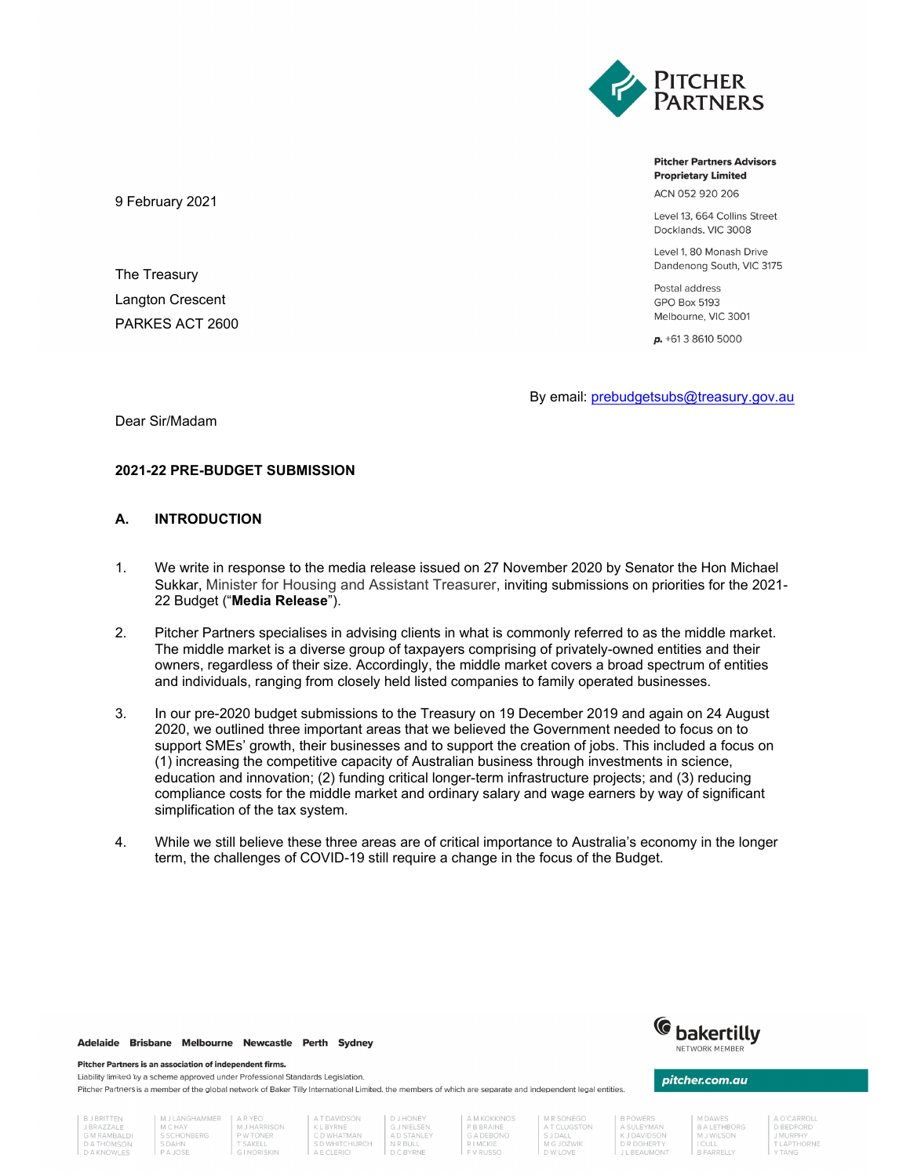

**Pitcher Partners Advisors Proprietary Limited** 

ACN 052 920 206

Level 13, 664 Collins Street Docklands, VIC 3008

Level 1, 80 Monash Drive Dandenong South, VIC 3175

Postal address **GPO Box 5193** Melbourne, VIC 3001

 $p. +61386105000$ 

By email: prebudgetsubs@treasury.gov.au

Dear Sir/Madam

9 February 2021

The Treasury Langton Crescent PARKES ACT 2600

# **2021-22 PRE-BUDGET SUBMISSION**

### **A. INTRODUCTION**

- 1. We write in response to the media release issued on 27 November 2020 by Senator the Hon Michael Sukkar, Minister for Housing and Assistant Treasurer, inviting submissions on priorities for the 2021- 22 Budget ("**Media Release**").
- 2. Pitcher Partners specialises in advising clients in what is commonly referred to as the middle market. The middle market is a diverse group of taxpayers comprising of privately-owned entities and their owners, regardless of their size. Accordingly, the middle market covers a broad spectrum of entities and individuals, ranging from closely held listed companies to family operated businesses.
- 3. In our pre-2020 budget submissions to the Treasury on 19 December 2019 and again on 24 August 2020, we outlined three important areas that we believed the Government needed to focus on to support SMEs' growth, their businesses and to support the creation of jobs. This included a focus on (1) increasing the competitive capacity of Australian business through investments in science, education and innovation; (2) funding critical longer-term infrastructure projects; and (3) reducing compliance costs for the middle market and ordinary salary and wage earners by way of significant simplification of the tax system.
- 4. While we still believe these three areas are of critical importance to Australia's economy in the longer term, the challenges of COVID-19 still require a change in the focus of the Budget.

### Adelaide Brisbane Melbourne Newcastle Perth Sydney

#### Pitcher Partners is an association of independent firms.

Liability limited by a scheme approved under Professional Standards Legislation. Pitcher Partners is a member of the global network of Baker Tilly International Limited, the members of which are separate and independent legal entities.



## pitcher.com.au

A SULEYMAN<br>K J DAVIDSON<br>D R DOHERTY

**BALETHBORG** M J WILSON I CULL<br>B FARRELLY

D BEDFORD MURPHY

| <b>DJDKII IEN</b>  |  |
|--------------------|--|
| <b>J BRAZZALE</b>  |  |
| <b>GM RAMBALDI</b> |  |
| <b>DATHOMSON</b>   |  |
| D A V N D M I E C  |  |

MJLANGHAMMER | ARYEO M J HARRISON<br>P W TONER<br>T SAKELL<br>G I NORISKIN M C HAY M C HAY<br>S SCHONBERG<br>S DAHN<br>P A JOSE

A T DAVIDSON | DJHONEY A LI BAVIDSON<br>
K L BYRNE<br>
C D WHATMAN<br>
S D WHITCHURCH<br>
A E CLERICI **G J NIELSEN**<br>A D STANLEY

A M KOKKINOS PBBRAINE G A DEBONO<br>R I MCKIE

M R SONEGO A T CLUGSTON **SJDALL** M G JOZWIK<br>D W LOVE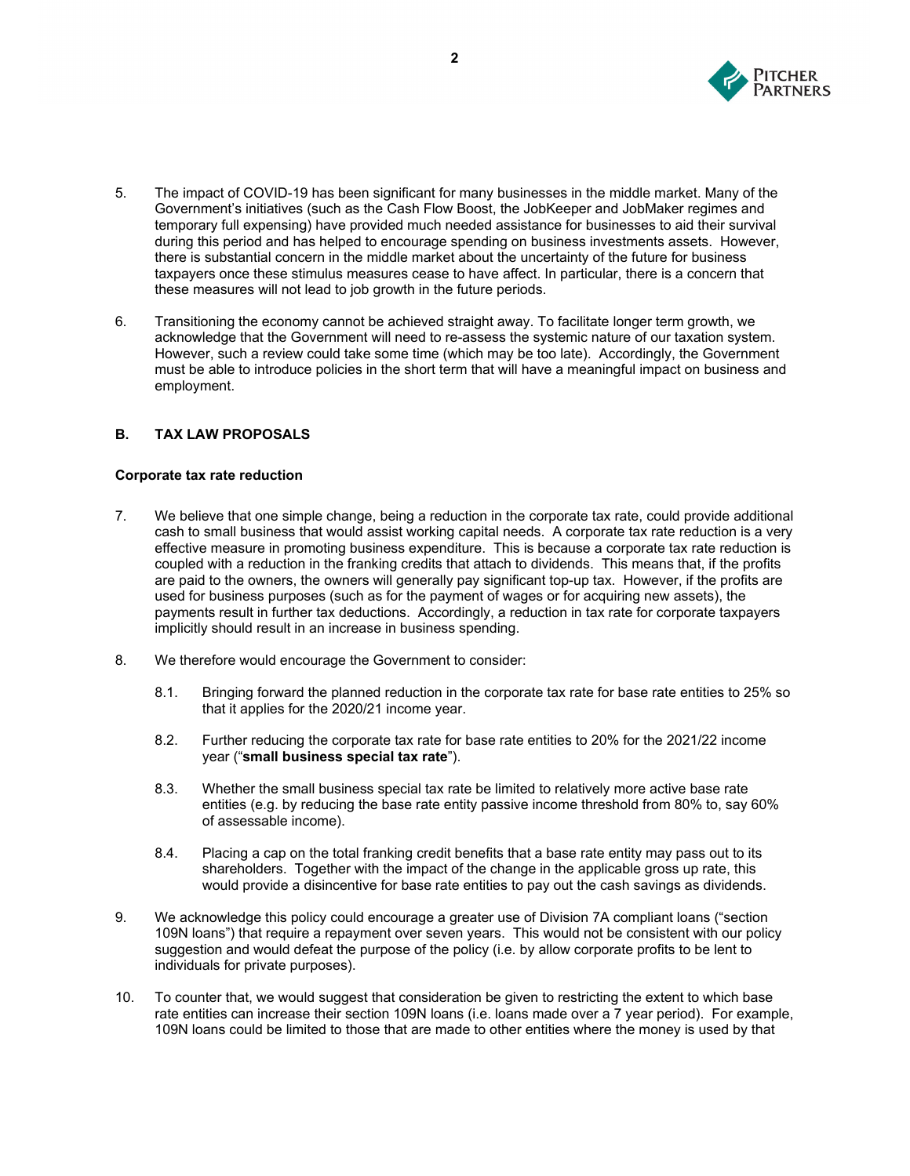

- 5. The impact of COVID-19 has been significant for many businesses in the middle market. Many of the Government's initiatives (such as the Cash Flow Boost, the JobKeeper and JobMaker regimes and temporary full expensing) have provided much needed assistance for businesses to aid their survival during this period and has helped to encourage spending on business investments assets. However, there is substantial concern in the middle market about the uncertainty of the future for business taxpayers once these stimulus measures cease to have affect. In particular, there is a concern that these measures will not lead to job growth in the future periods.
- 6. Transitioning the economy cannot be achieved straight away. To facilitate longer term growth, we acknowledge that the Government will need to re-assess the systemic nature of our taxation system. However, such a review could take some time (which may be too late). Accordingly, the Government must be able to introduce policies in the short term that will have a meaningful impact on business and employment.

# **B. TAX LAW PROPOSALS**

### **Corporate tax rate reduction**

- 7. We believe that one simple change, being a reduction in the corporate tax rate, could provide additional cash to small business that would assist working capital needs. A corporate tax rate reduction is a very effective measure in promoting business expenditure. This is because a corporate tax rate reduction is coupled with a reduction in the franking credits that attach to dividends. This means that, if the profits are paid to the owners, the owners will generally pay significant top-up tax. However, if the profits are used for business purposes (such as for the payment of wages or for acquiring new assets), the payments result in further tax deductions. Accordingly, a reduction in tax rate for corporate taxpayers implicitly should result in an increase in business spending.
- 8. We therefore would encourage the Government to consider:
	- 8.1. Bringing forward the planned reduction in the corporate tax rate for base rate entities to 25% so that it applies for the 2020/21 income year.
	- 8.2. Further reducing the corporate tax rate for base rate entities to 20% for the 2021/22 income year ("**small business special tax rate**").
	- 8.3. Whether the small business special tax rate be limited to relatively more active base rate entities (e.g. by reducing the base rate entity passive income threshold from 80% to, say 60% of assessable income).
	- 8.4. Placing a cap on the total franking credit benefits that a base rate entity may pass out to its shareholders. Together with the impact of the change in the applicable gross up rate, this would provide a disincentive for base rate entities to pay out the cash savings as dividends.
- 9. We acknowledge this policy could encourage a greater use of Division 7A compliant loans ("section 109N loans") that require a repayment over seven years. This would not be consistent with our policy suggestion and would defeat the purpose of the policy (i.e. by allow corporate profits to be lent to individuals for private purposes).
- 10. To counter that, we would suggest that consideration be given to restricting the extent to which base rate entities can increase their section 109N loans (i.e. loans made over a 7 year period). For example, 109N loans could be limited to those that are made to other entities where the money is used by that